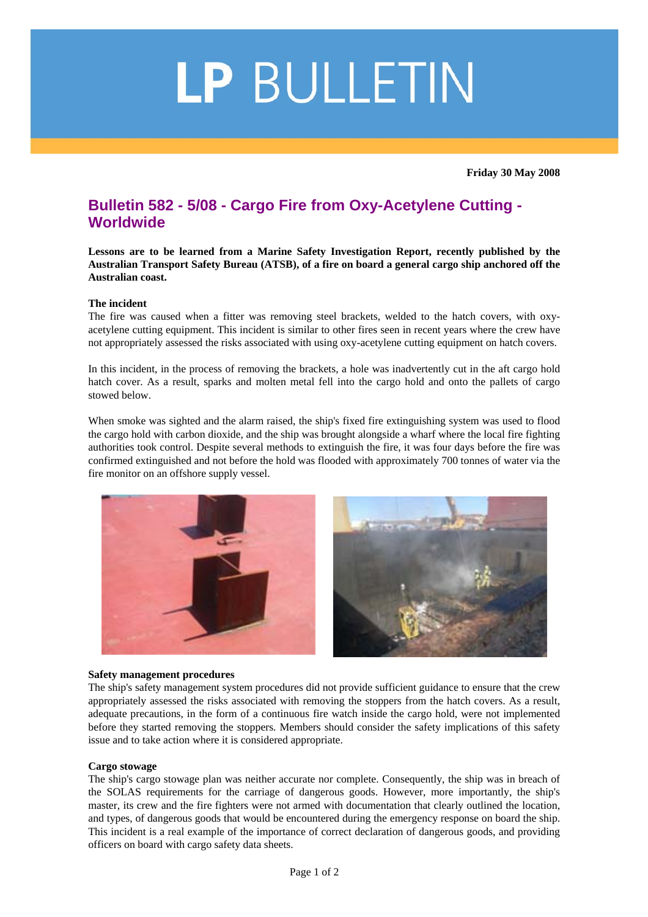# LP BULLETIN

**Friday 30 May 2008** 

# **Bulletin 582 - 5/08 - Cargo Fire from Oxy-Acetylene Cutting - Worldwide**

**Lessons are to be learned from a Marine Safety Investigation Report, recently published by the Australian Transport Safety Bureau (ATSB), of a fire on board a general cargo ship anchored off the Australian coast.**

## **The incident**

The fire was caused when a fitter was removing steel brackets, welded to the hatch covers, with oxyacetylene cutting equipment. This incident is similar to other fires seen in recent years where the crew have not appropriately assessed the risks associated with using oxy-acetylene cutting equipment on hatch covers.

In this incident, in the process of removing the brackets, a hole was inadvertently cut in the aft cargo hold hatch cover. As a result, sparks and molten metal fell into the cargo hold and onto the pallets of cargo stowed below.

When smoke was sighted and the alarm raised, the ship's fixed fire extinguishing system was used to flood the cargo hold with carbon dioxide, and the ship was brought alongside a wharf where the local fire fighting authorities took control. Despite several methods to extinguish the fire, it was four days before the fire was confirmed extinguished and not before the hold was flooded with approximately 700 tonnes of water via the fire monitor on an offshore supply vessel.



## **Safety management procedures**

The ship's safety management system procedures did not provide sufficient guidance to ensure that the crew appropriately assessed the risks associated with removing the stoppers from the hatch covers. As a result, adequate precautions, in the form of a continuous fire watch inside the cargo hold, were not implemented before they started removing the stoppers. Members should consider the safety implications of this safety issue and to take action where it is considered appropriate.

#### **Cargo stowage**

The ship's cargo stowage plan was neither accurate nor complete. Consequently, the ship was in breach of the SOLAS requirements for the carriage of dangerous goods. However, more importantly, the ship's master, its crew and the fire fighters were not armed with documentation that clearly outlined the location, and types, of dangerous goods that would be encountered during the emergency response on board the ship. This incident is a real example of the importance of correct declaration of dangerous goods, and providing officers on board with cargo safety data sheets.